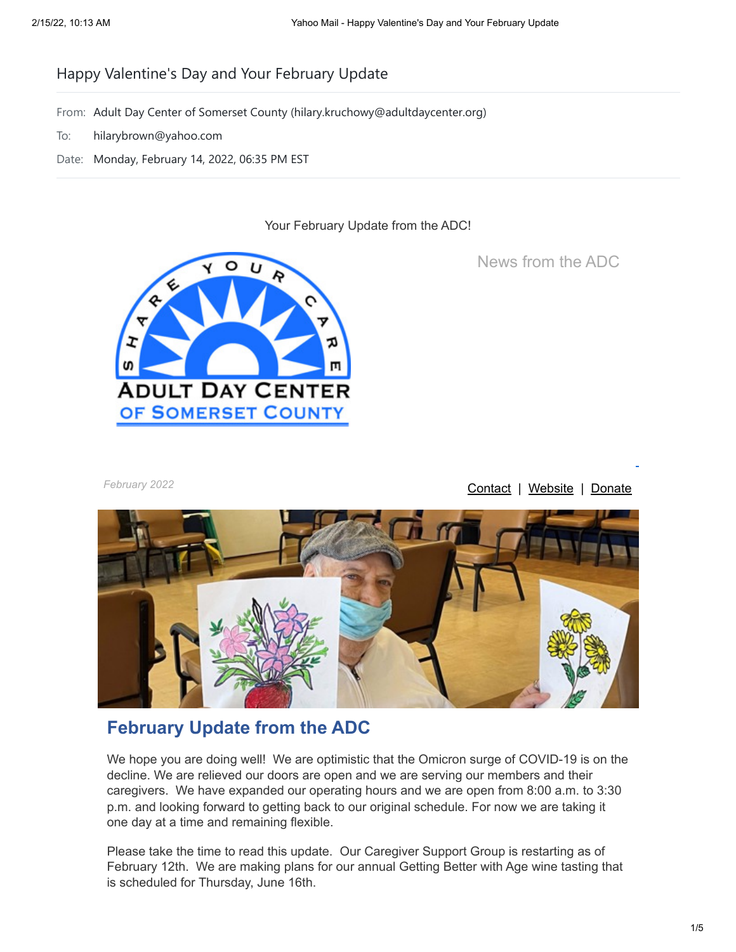# Happy Valentine's Day and Your February Update

- From: Adult Day Center of Somerset County (hilary.kruchowy@adultdaycenter.org)
- To: hilarybrown@yahoo.com
- Date: Monday, February 14, 2022, 06:35 PM EST

Your February Update from the ADC!



News from the ADC

February 2022 **[Contact](mailto:hilary.kruchowy@adultdaycenter.org?subject=General%20Inquiry) | [Website](https://eml-pusa01.app.blackbaud.net/intv2/j/5680A8F0-5288-435A-B668-717FF3AA420C/r/5680A8F0-5288-435A-B668-717FF3AA420C_4f3863e0-9e81-4dfb-a085-69bbd58504a3/l/7E65C444-D493-4DAF-8817-21E7DCC3C69B/c) | [Donate](https://eml-pusa01.app.blackbaud.net/intv2/j/5680A8F0-5288-435A-B668-717FF3AA420C/r/5680A8F0-5288-435A-B668-717FF3AA420C_4f3863e0-9e81-4dfb-a085-69bbd58504a3/l/70AD3020-BBA3-4EF9-BE36-5048AFA305EA/c)** 



# **February Update from the ADC**

We hope you are doing well! We are optimistic that the Omicron surge of COVID-19 is on the decline. We are relieved our doors are open and we are serving our members and their caregivers. We have expanded our operating hours and we are open from 8:00 a.m. to 3:30 p.m. and looking forward to getting back to our original schedule. For now we are taking it one day at a time and remaining flexible.

Please take the time to read this update. Our Caregiver Support Group is restarting as of February 12th. We are making plans for our annual Getting Better with Age wine tasting that is scheduled for Thursday, June 16th.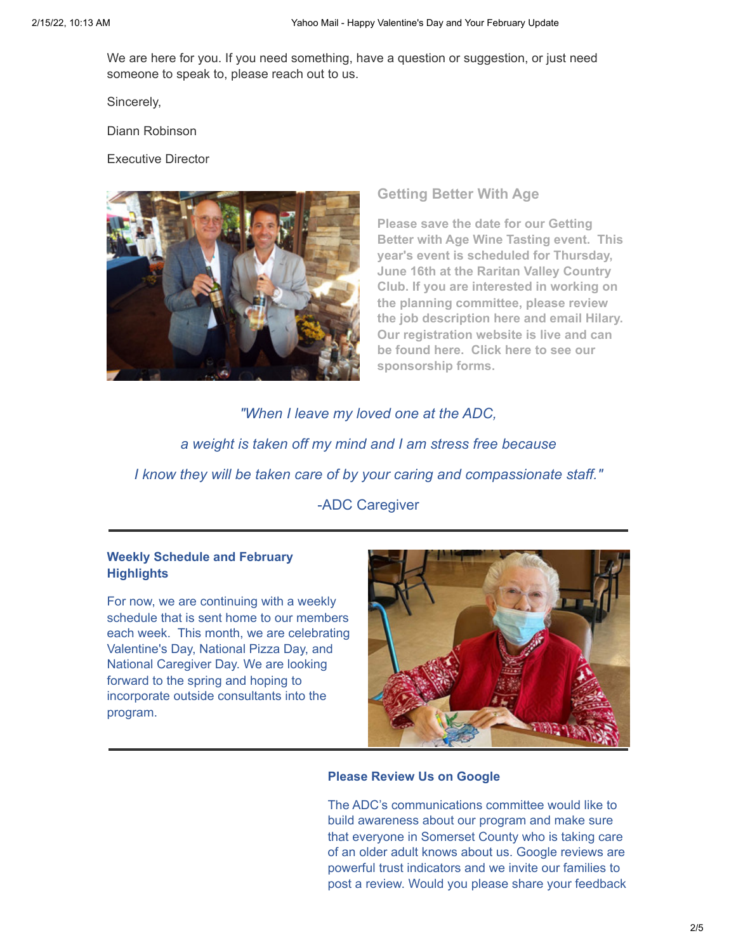We are here for you. If you need something, have a question or suggestion, or just need someone to speak to, please reach out to us.

Sincerely,

Diann Robinson

Executive Director



**Getting Better With Age**

**Please save the date for our Getting Better with Age Wine Tasting event. This year's event is scheduled for Thursday, June 16th at the Raritan Valley Country Club. If you are interested in working on the planning committee, please review the job description [here](https://eml-pusa01.app.blackbaud.net/intv2/j/5680A8F0-5288-435A-B668-717FF3AA420C/r/5680A8F0-5288-435A-B668-717FF3AA420C_4f3863e0-9e81-4dfb-a085-69bbd58504a3/l/5B94B772-6FC4-425A-9DF3-9455D933B3EA/c) and email [Hilary.](mailto:hilary.kruchowy@adultdaycenter.org?subject=2022%20ADC%20Wine%20Tasting) Our registration website is live and can be found [here.](https://eml-pusa01.app.blackbaud.net/intv2/j/5680A8F0-5288-435A-B668-717FF3AA420C/r/5680A8F0-5288-435A-B668-717FF3AA420C_4f3863e0-9e81-4dfb-a085-69bbd58504a3/l/47ACE195-CB6E-47B6-85F0-1D7AF70B461A/c) Click [here](https://eml-pusa01.app.blackbaud.net/intv2/j/5680A8F0-5288-435A-B668-717FF3AA420C/r/5680A8F0-5288-435A-B668-717FF3AA420C_4f3863e0-9e81-4dfb-a085-69bbd58504a3/l/9D5C549D-1035-472D-A6B4-F7183A62F8F0/c) to see our sponsorship forms.**

*"When I leave my loved one at the ADC, a weight is taken off my mind and I am stress free because I know they will be taken care of by your caring and compassionate staff."* -ADC Caregiver

## **Weekly Schedule and February Highlights**

For now, we are continuing with a weekly schedule that is sent home to our members each week. This month, we are celebrating Valentine's Day, National Pizza Day, and National Caregiver Day. We are looking forward to the spring and hoping to incorporate outside consultants into the program.



### **Please Review Us on Google**

The ADC's communications committee would like to build awareness about our program and make sure that everyone in Somerset County who is taking care of an older adult knows about us. Google reviews are powerful trust indicators and we invite our families to post a review. Would you please share your feedback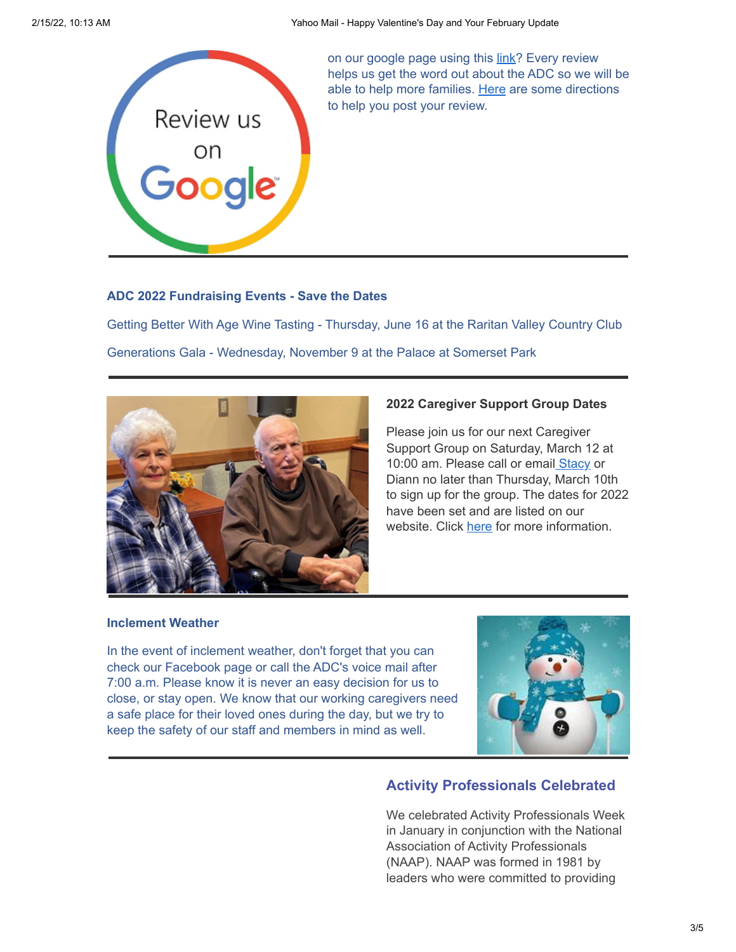

on our google page using this [link?](https://eml-pusa01.app.blackbaud.net/intv2/j/5680A8F0-5288-435A-B668-717FF3AA420C/r/5680A8F0-5288-435A-B668-717FF3AA420C_4f3863e0-9e81-4dfb-a085-69bbd58504a3/l/25EB8505-3FE3-4E80-B194-5DD8585CB73B/c) Every review helps us get the word out about the ADC so we will be able to help more families. [Here](https://eml-pusa01.app.blackbaud.net/intv2/j/5680A8F0-5288-435A-B668-717FF3AA420C/r/5680A8F0-5288-435A-B668-717FF3AA420C_4f3863e0-9e81-4dfb-a085-69bbd58504a3/l/A1CFFFD2-BA6F-4B77-8F99-750332874540/c) are some directions to help you post your review.

#### **ADC 2022 Fundraising Events - Save the Dates**

Getting Better With Age Wine Tasting - Thursday, June 16 at the Raritan Valley Country Club Generations Gala - Wednesday, November 9 at the Palace at Somerset Park



#### **2022 Caregiver Support Group Dates**

Please join us for our next Caregiver Support Group on Saturday, March 12 at 10:00 am. Please call or emai[l Stacy](mailto:sscelfo@adultdaycenter.org?subject=Caregiver%20Support%20Group) or Diann no later than Thursday, March 10th to sign up for the group. The dates for 2022 have been set and are listed on our website. Click [here](https://eml-pusa01.app.blackbaud.net/intv2/j/5680A8F0-5288-435A-B668-717FF3AA420C/r/5680A8F0-5288-435A-B668-717FF3AA420C_4f3863e0-9e81-4dfb-a085-69bbd58504a3/l/AAF0B4F7-05A7-460E-9DD1-F2BCEF25056C/c) for more information.

#### **Inclement Weather**

In the event of inclement weather, don't forget that you can check our Facebook page or call the ADC's voice mail after 7:00 a.m. Please know it is never an easy decision for us to close, or stay open. We know that our working caregivers need a safe place for their loved ones during the day, but we try to keep the safety of our staff and members in mind as well.



# **Activity Professionals Celebrated**

We celebrated Activity Professionals Week in January in conjunction with the National Association of Activity Professionals (NAAP). NAAP was formed in 1981 by leaders who were committed to providing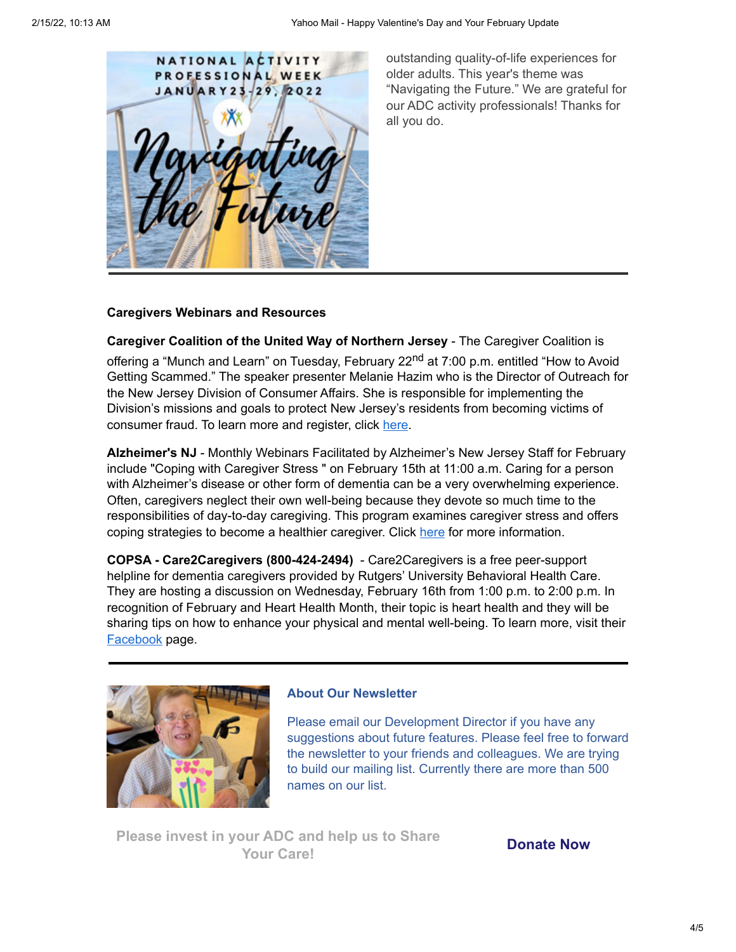

outstanding quality-of-life experiences for older adults. This year's theme was "Navigating the Future." We are grateful for our ADC activity professionals! Thanks for all you do.

## **Caregivers Webinars and Resources**

**Caregiver Coalition of the United Way of Northern Jersey** - The Caregiver Coalition is

offering a "Munch and Learn" on Tuesday, February 22<sup>nd</sup> at 7:00 p.m. entitled "How to Avoid Getting Scammed." The speaker presenter Melanie Hazim who is the Director of Outreach for the New Jersey Division of Consumer Affairs. She is responsible for implementing the Division's missions and goals to protect New Jersey's residents from becoming victims of consumer fraud. To learn more and register, click [here.](https://eml-pusa01.app.blackbaud.net/intv2/j/5680A8F0-5288-435A-B668-717FF3AA420C/r/5680A8F0-5288-435A-B668-717FF3AA420C_4f3863e0-9e81-4dfb-a085-69bbd58504a3/l/ACB7630F-7BB4-4969-BBAD-3DF434F7FCDE/c)

**Alzheimer's NJ** - Monthly Webinars Facilitated by Alzheimer's New Jersey Staff for February include "Coping with Caregiver Stress " on February 15th at 11:00 a.m. Caring for a person with Alzheimer's disease or other form of dementia can be a very overwhelming experience. Often, caregivers neglect their own well-being because they devote so much time to the responsibilities of day-to-day caregiving. This program examines caregiver stress and offers coping strategies to become a healthier caregiver. Click [here](https://eml-pusa01.app.blackbaud.net/intv2/j/5680A8F0-5288-435A-B668-717FF3AA420C/r/5680A8F0-5288-435A-B668-717FF3AA420C_4f3863e0-9e81-4dfb-a085-69bbd58504a3/l/7F10E303-D314-4460-8A46-D95FC282E878/c) for more information.

**COPSA - Care2Caregivers (800-424-2494)** - Care2Caregivers is a free peer-support helpline for dementia caregivers provided by Rutgers' University Behavioral Health Care. They are hosting a discussion on Wednesday, February 16th from 1:00 p.m. to 2:00 p.m. In recognition of February and Heart Health Month, their topic is heart health and they will be sharing tips on how to enhance your physical and mental well-being. To learn more, visit their [Facebook](https://eml-pusa01.app.blackbaud.net/intv2/j/5680A8F0-5288-435A-B668-717FF3AA420C/r/5680A8F0-5288-435A-B668-717FF3AA420C_4f3863e0-9e81-4dfb-a085-69bbd58504a3/l/5C714E2B-4BBA-42CE-8045-A943C10C9187/c) page.



## **About Our Newsletter**

Please email our Development Director if you have any suggestions about future features. Please feel free to forward the newsletter to your friends and colleagues. We are trying to build our mailing list. Currently there are more than 500 names on our list.

**Please invest in your ADC and help us to Share Your Care! [Donate Now](https://eml-pusa01.app.blackbaud.net/intv2/j/5680A8F0-5288-435A-B668-717FF3AA420C/r/5680A8F0-5288-435A-B668-717FF3AA420C_4f3863e0-9e81-4dfb-a085-69bbd58504a3/l/53F67536-765E-455A-9444-11242AB95F97/c)**